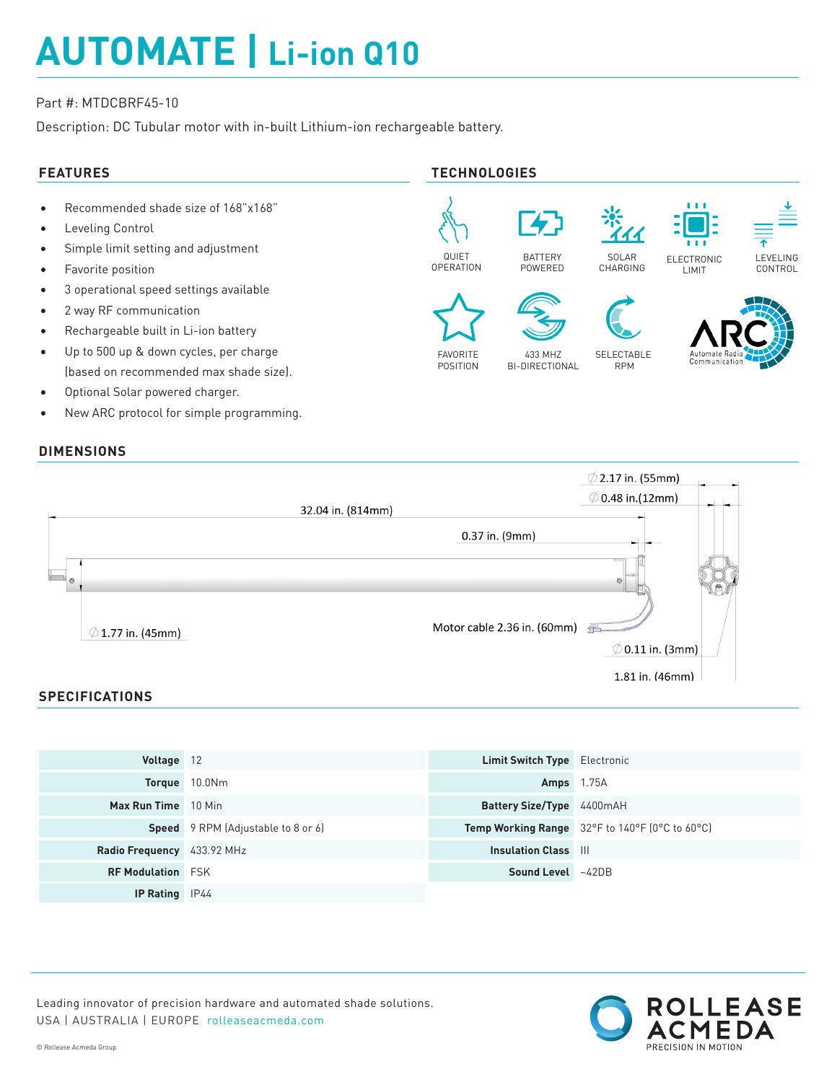# **AUTOMATE | Li-ion Q10**

### Part #: MTDCBRF45-10

Description: DC Tubular motor with in-built Lithium-ion rechargeable battery.





## **SPECIFICATIONS**

| Voltage 12                 |                                           | <b>Limit Switch Type</b> Electronic |                                                |
|----------------------------|-------------------------------------------|-------------------------------------|------------------------------------------------|
|                            | Torque 10.0Nm                             | <b>Amps</b> 1.75A                   |                                                |
| Max Run Time 10 Min        |                                           | Battery Size/Type 4400mAH           |                                                |
|                            | <b>Speed</b> 9 RPM (Adjustable to 8 or 6) |                                     | Temp Working Range 32°F to 140°F (0°C to 60°C) |
| Radio Frequency 433.92 MHz |                                           | <b>Insulation Class III</b>         |                                                |
| <b>RF Modulation FSK</b>   |                                           | Sound Level ~42DB                   |                                                |
| <b>IP Rating</b> IP44      |                                           |                                     |                                                |